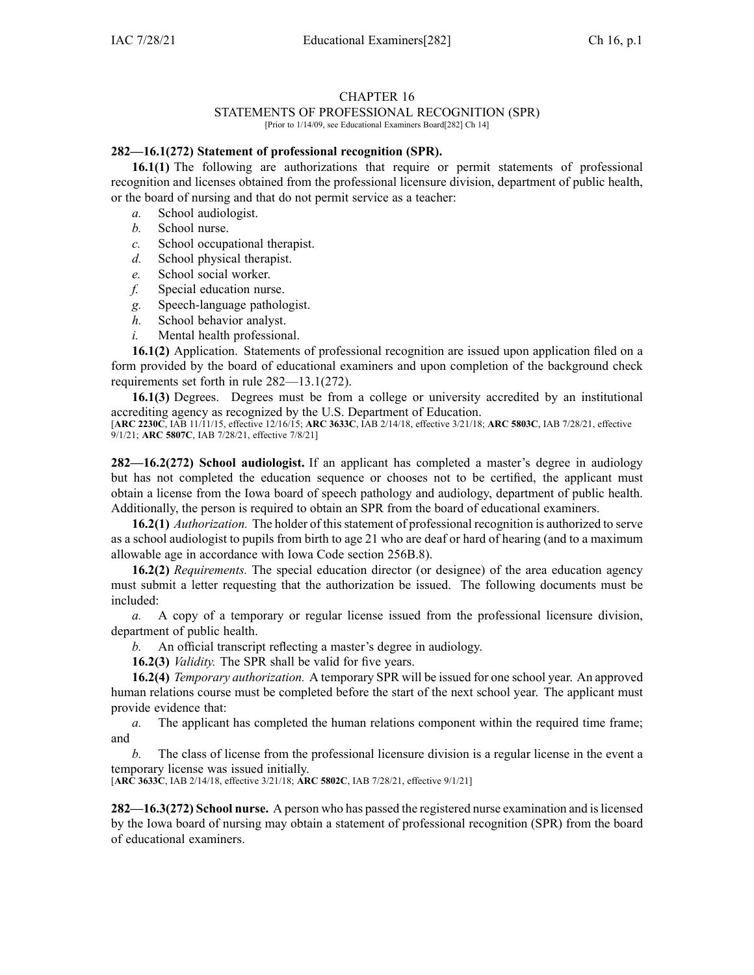## CHAPTER 16

## STATEMENTS OF PROFESSIONAL RECOGNITION (SPR)

[Prior to 1/14/09, see Educational Examiners Board[282] Ch 14]

## **282—16.1(272) Statement of professional recognition (SPR).**

**16.1(1)** The following are authorizations that require or permit statements of professional recognition and licenses obtained from the professional licensure division, department of public health, or the board of nursing and that do not permit service as <sup>a</sup> teacher:

- *a.* School audiologist.
- *b.* School nurse.
- *c.* School occupational therapist.
- *d.* School physical therapist.
- *e.* School social worker.
- *f.* Special education nurse.
- *g.* Speech-language pathologist.
- *h.* School behavior analyst.
- *i.* Mental health professional.

**16.1(2)** Application. Statements of professional recognition are issued upon application filed on <sup>a</sup> form provided by the board of educational examiners and upon completion of the background check requirements set forth in rule [282—13.1](https://www.legis.iowa.gov/docs/iac/rule/282.13.1.pdf)(272).

**16.1(3)** Degrees. Degrees must be from <sup>a</sup> college or university accredited by an institutional accrediting agency as recognized by the U.S. Department of Education.

[**ARC [2230C](https://www.legis.iowa.gov/docs/aco/arc/2230C.pdf)**, IAB 11/11/15, effective 12/16/15; **ARC [3633C](https://www.legis.iowa.gov/docs/aco/arc/3633C.pdf)**, IAB 2/14/18, effective 3/21/18; **ARC [5803C](https://www.legis.iowa.gov/docs/aco/arc/5803C.pdf)**, IAB 7/28/21, effective 9/1/21; **ARC [5807C](https://www.legis.iowa.gov/docs/aco/arc/5807C.pdf)**, IAB 7/28/21, effective 7/8/21]

**282—16.2(272) School audiologist.** If an applicant has completed <sup>a</sup> master's degree in audiology but has not completed the education sequence or chooses not to be certified, the applicant must obtain <sup>a</sup> license from the Iowa board of speech pathology and audiology, department of public health. Additionally, the person is required to obtain an SPR from the board of educational examiners.

**16.2(1)** *Authorization*. The holder of this statement of professional recognition is authorized to serve as <sup>a</sup> school audiologist to pupils from birth to age 21 who are deaf or hard of hearing (and to <sup>a</sup> maximum allowable age in accordance with Iowa Code section [256B.8](https://www.legis.iowa.gov/docs/ico/section/256B.8.pdf)).

**16.2(2)** *Requirements.* The special education director (or designee) of the area education agency must submit <sup>a</sup> letter requesting that the authorization be issued. The following documents must be included:

*a.* A copy of <sup>a</sup> temporary or regular license issued from the professional licensure division, department of public health.

*b.* An official transcript reflecting <sup>a</sup> master's degree in audiology.

**16.2(3)** *Validity.* The SPR shall be valid for five years.

**16.2(4)** *Temporary authorization.* A temporary SPR will be issued for one school year. An approved human relations course must be completed before the start of the next school year. The applicant must provide evidence that:

*a.* The applicant has completed the human relations componen<sup>t</sup> within the required time frame; and

*b.* The class of license from the professional licensure division is <sup>a</sup> regular license in the event <sup>a</sup> temporary license was issued initially.

[**ARC [3633C](https://www.legis.iowa.gov/docs/aco/arc/3633C.pdf)**, IAB 2/14/18, effective 3/21/18; **ARC [5802C](https://www.legis.iowa.gov/docs/aco/arc/5802C.pdf)**, IAB 7/28/21, effective 9/1/21]

**282—16.3(272) School nurse.** A person who has passed the registered nurse examination and islicensed by the Iowa board of nursing may obtain <sup>a</sup> statement of professional recognition (SPR) from the board of educational examiners.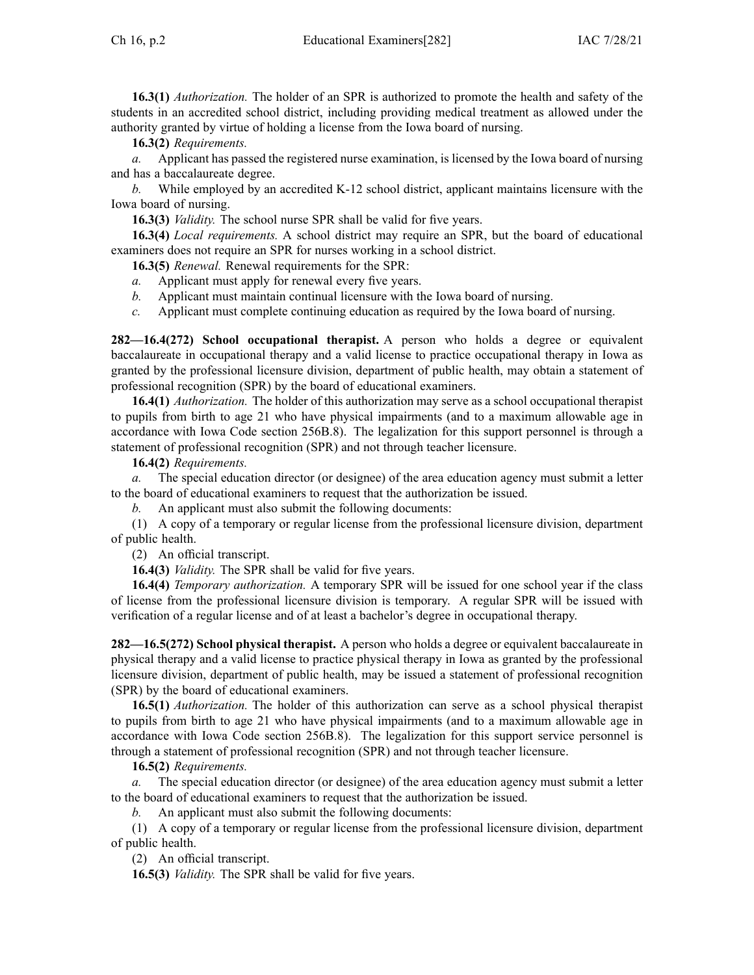**16.3(1)** *Authorization.* The holder of an SPR is authorized to promote the health and safety of the students in an accredited school district, including providing medical treatment as allowed under the authority granted by virtue of holding <sup>a</sup> license from the Iowa board of nursing.

**16.3(2)** *Requirements.*

*a.* Applicant has passed the registered nurse examination, is licensed by the Iowa board of nursing and has <sup>a</sup> baccalaureate degree.

*b.* While employed by an accredited K-12 school district, applicant maintains licensure with the Iowa board of nursing.

**16.3(3)** *Validity.* The school nurse SPR shall be valid for five years.

**16.3(4)** *Local requirements.* A school district may require an SPR, but the board of educational examiners does not require an SPR for nurses working in <sup>a</sup> school district.

**16.3(5)** *Renewal.* Renewal requirements for the SPR:

- *a.* Applicant must apply for renewal every five years.
- *b.* Applicant must maintain continual licensure with the Iowa board of nursing.
- *c.* Applicant must complete continuing education as required by the Iowa board of nursing.

**282—16.4(272) School occupational therapist.** A person who holds <sup>a</sup> degree or equivalent baccalaureate in occupational therapy and <sup>a</sup> valid license to practice occupational therapy in Iowa as granted by the professional licensure division, department of public health, may obtain <sup>a</sup> statement of professional recognition (SPR) by the board of educational examiners.

**16.4(1)** *Authorization.* The holder of this authorization may serve as <sup>a</sup> school occupational therapist to pupils from birth to age 21 who have physical impairments (and to <sup>a</sup> maximum allowable age in accordance with Iowa Code section [256B.8\)](https://www.legis.iowa.gov/docs/ico/section/256B.8.pdf). The legalization for this suppor<sup>t</sup> personnel is through <sup>a</sup> statement of professional recognition (SPR) and not through teacher licensure.

**16.4(2)** *Requirements.*

*a.* The special education director (or designee) of the area education agency must submit <sup>a</sup> letter to the board of educational examiners to reques<sup>t</sup> that the authorization be issued.

*b.* An applicant must also submit the following documents:

(1) A copy of <sup>a</sup> temporary or regular license from the professional licensure division, department of public health.

(2) An official transcript.

**16.4(3)** *Validity.* The SPR shall be valid for five years.

**16.4(4)** *Temporary authorization.* A temporary SPR will be issued for one school year if the class of license from the professional licensure division is temporary. A regular SPR will be issued with verification of <sup>a</sup> regular license and of at least <sup>a</sup> bachelor's degree in occupational therapy.

**282—16.5(272) School physical therapist.** A person who holds <sup>a</sup> degree or equivalent baccalaureate in physical therapy and <sup>a</sup> valid license to practice physical therapy in Iowa as granted by the professional licensure division, department of public health, may be issued <sup>a</sup> statement of professional recognition (SPR) by the board of educational examiners.

**16.5(1)** *Authorization.* The holder of this authorization can serve as <sup>a</sup> school physical therapist to pupils from birth to age 21 who have physical impairments (and to <sup>a</sup> maximum allowable age in accordance with Iowa Code section [256B.8](https://www.legis.iowa.gov/docs/ico/section/256B.8.pdf)). The legalization for this suppor<sup>t</sup> service personnel is through <sup>a</sup> statement of professional recognition (SPR) and not through teacher licensure.

**16.5(2)** *Requirements.*

*a.* The special education director (or designee) of the area education agency must submit <sup>a</sup> letter to the board of educational examiners to reques<sup>t</sup> that the authorization be issued.

*b.* An applicant must also submit the following documents:

(1) A copy of <sup>a</sup> temporary or regular license from the professional licensure division, department of public health.

(2) An official transcript.

**16.5(3)** *Validity.* The SPR shall be valid for five years.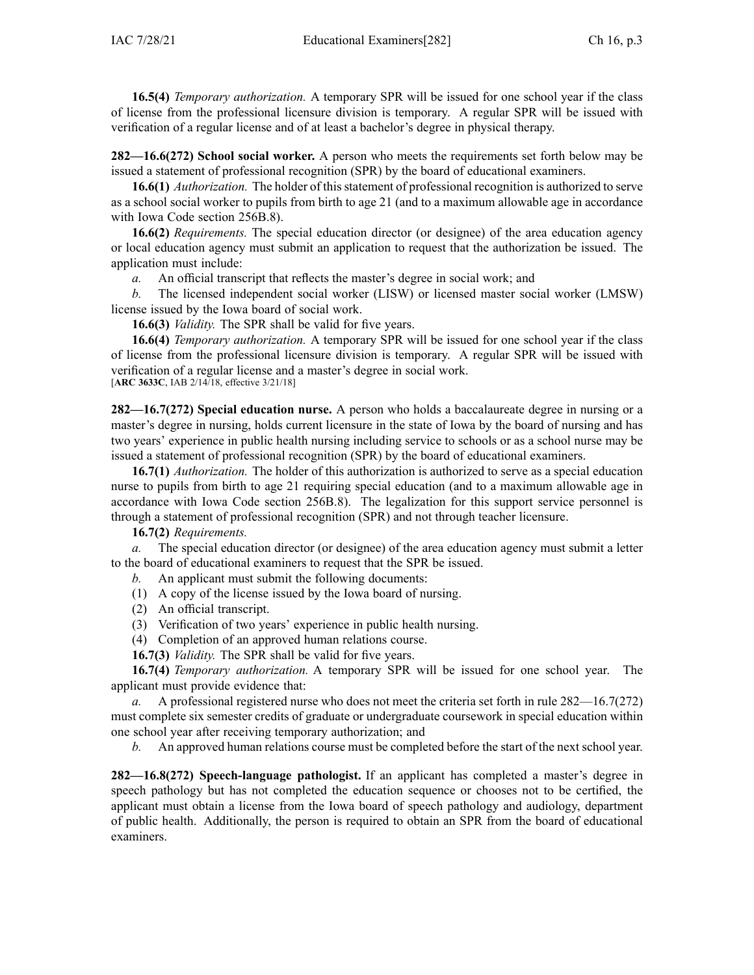**16.5(4)** *Temporary authorization.* A temporary SPR will be issued for one school year if the class of license from the professional licensure division is temporary. A regular SPR will be issued with verification of <sup>a</sup> regular license and of at least <sup>a</sup> bachelor's degree in physical therapy.

**282—16.6(272) School social worker.** A person who meets the requirements set forth below may be issued <sup>a</sup> statement of professional recognition (SPR) by the board of educational examiners.

**16.6(1)** *Authorization.* The holder of thisstatement of professional recognition is authorized to serve as <sup>a</sup> school social worker to pupils from birth to age 21 (and to <sup>a</sup> maximum allowable age in accordance with Iowa Code section [256B.8](https://www.legis.iowa.gov/docs/ico/section/256B.8.pdf)).

**16.6(2)** *Requirements.* The special education director (or designee) of the area education agency or local education agency must submit an application to reques<sup>t</sup> that the authorization be issued. The application must include:

*a.* An official transcript that reflects the master's degree in social work; and

*b.* The licensed independent social worker (LISW) or licensed master social worker (LMSW) license issued by the Iowa board of social work.

**16.6(3)** *Validity.* The SPR shall be valid for five years.

**16.6(4)** *Temporary authorization.* A temporary SPR will be issued for one school year if the class of license from the professional licensure division is temporary. A regular SPR will be issued with verification of <sup>a</sup> regular license and <sup>a</sup> master's degree in social work. [**ARC [3633C](https://www.legis.iowa.gov/docs/aco/arc/3633C.pdf)**, IAB 2/14/18, effective 3/21/18]

**282—16.7(272) Special education nurse.** A person who holds <sup>a</sup> baccalaureate degree in nursing or <sup>a</sup> master's degree in nursing, holds current licensure in the state of Iowa by the board of nursing and has two years' experience in public health nursing including service to schools or as <sup>a</sup> school nurse may be issued <sup>a</sup> statement of professional recognition (SPR) by the board of educational examiners.

**16.7(1)** *Authorization.* The holder of this authorization is authorized to serve as <sup>a</sup> special education nurse to pupils from birth to age 21 requiring special education (and to <sup>a</sup> maximum allowable age in accordance with Iowa Code section [256B.8](https://www.legis.iowa.gov/docs/ico/section/256B.8.pdf)). The legalization for this suppor<sup>t</sup> service personnel is through <sup>a</sup> statement of professional recognition (SPR) and not through teacher licensure.

**16.7(2)** *Requirements.*

*a.* The special education director (or designee) of the area education agency must submit <sup>a</sup> letter to the board of educational examiners to reques<sup>t</sup> that the SPR be issued.

*b.* An applicant must submit the following documents:

- (1) A copy of the license issued by the Iowa board of nursing.
- (2) An official transcript.
- (3) Verification of two years' experience in public health nursing.
- (4) Completion of an approved human relations course.
- **16.7(3)** *Validity.* The SPR shall be valid for five years.

**16.7(4)** *Temporary authorization.* A temporary SPR will be issued for one school year. The applicant must provide evidence that:

*a.* A professional registered nurse who does not meet the criteria set forth in rule [282—16.7](https://www.legis.iowa.gov/docs/iac/rule/282.16.7.pdf)(272) must complete six semester credits of graduate or undergraduate coursework in special education within one school year after receiving temporary authorization; and

*b.* An approved human relations course must be completed before the start of the next school year.

**282—16.8(272) Speech-language pathologist.** If an applicant has completed <sup>a</sup> master's degree in speech pathology but has not completed the education sequence or chooses not to be certified, the applicant must obtain <sup>a</sup> license from the Iowa board of speech pathology and audiology, department of public health. Additionally, the person is required to obtain an SPR from the board of educational examiners.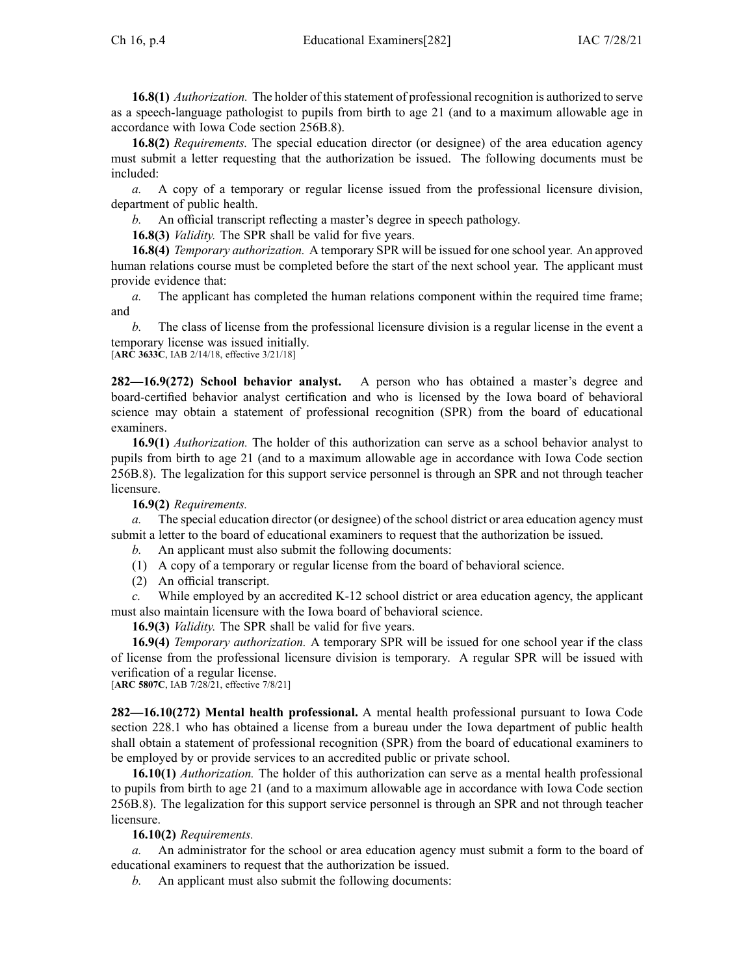**16.8(1)** *Authorization.* The holder of thisstatement of professional recognition is authorized to serve as <sup>a</sup> speech-language pathologist to pupils from birth to age 21 (and to <sup>a</sup> maximum allowable age in accordance with Iowa Code section [256B.8](https://www.legis.iowa.gov/docs/ico/section/256B.8.pdf)).

**16.8(2)** *Requirements.* The special education director (or designee) of the area education agency must submit <sup>a</sup> letter requesting that the authorization be issued. The following documents must be included:

*a.* A copy of <sup>a</sup> temporary or regular license issued from the professional licensure division, department of public health.

*b.* An official transcript reflecting <sup>a</sup> master's degree in speech pathology.

**16.8(3)** *Validity.* The SPR shall be valid for five years.

**16.8(4)** *Temporary authorization.* A temporary SPR will be issued for one school year. An approved human relations course must be completed before the start of the next school year. The applicant must provide evidence that:

*a.* The applicant has completed the human relations componen<sup>t</sup> within the required time frame; and

*b.* The class of license from the professional licensure division is <sup>a</sup> regular license in the event <sup>a</sup> temporary license was issued initially.

[**ARC [3633C](https://www.legis.iowa.gov/docs/aco/arc/3633C.pdf)**, IAB 2/14/18, effective 3/21/18]

**282—16.9(272) School behavior analyst.** A person who has obtained <sup>a</sup> master's degree and board-certified behavior analyst certification and who is licensed by the Iowa board of behavioral science may obtain <sup>a</sup> statement of professional recognition (SPR) from the board of educational examiners.

**16.9(1)** *Authorization.* The holder of this authorization can serve as <sup>a</sup> school behavior analyst to pupils from birth to age 21 (and to <sup>a</sup> maximum allowable age in accordance with Iowa Code section [256B.8](https://www.legis.iowa.gov/docs/ico/section/256B.8.pdf)). The legalization for this suppor<sup>t</sup> service personnel is through an SPR and not through teacher licensure.

**16.9(2)** *Requirements.*

*a.* The special education director (or designee) of the school district or area education agency must submit <sup>a</sup> letter to the board of educational examiners to reques<sup>t</sup> that the authorization be issued.

*b.* An applicant must also submit the following documents:

(1) A copy of <sup>a</sup> temporary or regular license from the board of behavioral science.

(2) An official transcript.

While employed by an accredited K-12 school district or area education agency, the applicant must also maintain licensure with the Iowa board of behavioral science.

**16.9(3)** *Validity.* The SPR shall be valid for five years.

**16.9(4)** *Temporary authorization.* A temporary SPR will be issued for one school year if the class of license from the professional licensure division is temporary. A regular SPR will be issued with verification of <sup>a</sup> regular license.

[**ARC [5807C](https://www.legis.iowa.gov/docs/aco/arc/5807C.pdf)**, IAB 7/28/21, effective 7/8/21]

**282—16.10(272) Mental health professional.** A mental health professional pursuan<sup>t</sup> to Iowa Code section [228.1](https://www.legis.iowa.gov/docs/ico/section/228.1.pdf) who has obtained <sup>a</sup> license from <sup>a</sup> bureau under the Iowa department of public health shall obtain <sup>a</sup> statement of professional recognition (SPR) from the board of educational examiners to be employed by or provide services to an accredited public or private school.

**16.10(1)** *Authorization.* The holder of this authorization can serve as <sup>a</sup> mental health professional to pupils from birth to age 21 (and to <sup>a</sup> maximum allowable age in accordance with Iowa Code section [256B.8](https://www.legis.iowa.gov/docs/ico/section/256B.8.pdf)). The legalization for this suppor<sup>t</sup> service personnel is through an SPR and not through teacher licensure.

**16.10(2)** *Requirements.*

*a.* An administrator for the school or area education agency must submit <sup>a</sup> form to the board of educational examiners to reques<sup>t</sup> that the authorization be issued.

*b.* An applicant must also submit the following documents: